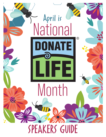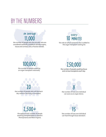## BY THE NUMBERS

## on average 11,00

the number of people who die annually who are considered medically suitable to donate organs, tissue and corneas; only a fraction donate.



the rate at which someone new is added to the organ transplant waiting list.





the number of people awaiting tissue and cornea transplants each day.





the number of lives one individual can save as an organ donor.



the approximate number of people awaiting transplantation in western Pennsylvania and West Virginia.



the number of lives one individual can heal through tissue donation.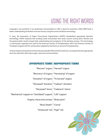Language is very powerful; it can perpetuate misconceptions or offer a space for awareness. Help CORE foster a better understanding of donation and save lives by using the correct donation terminology.

In 2005, the Association of Organ Procurement Organizations (AOPO) standardized appropriate donation terminology. AOPO reasoned that avoiding words and phrases that cause concern among donor families and the general public would increase both understanding and acceptance of the donation process. This terminology is unanimously supported and used by the American Society of Transplantation (AST) and American Society of Transplant Surgeons (ASTS), and has been adopted by the American Journal of Transplantation.

To show respect and sensitivity to those who give the gift of life and their loved ones, we request that only appropriate terms be used when referring to organ, tissue and cornea donation.

| "Recover" organs   "Harvest" organs                           |                                               |
|---------------------------------------------------------------|-----------------------------------------------|
|                                                               |                                               |
|                                                               | "Recovery" of organs   "Harvesting" of organs |
| "Donation" of organs   "To harvest" organs                    |                                               |
| "Deceased" donation   "Cadaver" donation                      |                                               |
|                                                               | "Deceased" donor   "Cadaveric" donor          |
| "Mechanical" support or "Ventilated" support   "Life" support |                                               |
| Organs, tissue and corneas   "Body parts"                     |                                               |
| "Brain Death"   "Coma"                                        |                                               |
| "Enhanced" risk   "High" risk                                 |                                               |

#### APPROPRIATE TERMS INAPPROPRIATE TERMS

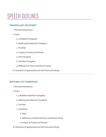## SPEECH OUTLINES

#### **TRANSPLANT RECIPIENT**

- I. Personal Introduction
- II. Story
	- a. Life Before Transplant
	- b. Realizing the Need for Transplant
	- c. The Wait
	- d. Impact on Family and Friends
	- e. The Transplant
	- f. Life After Transplant
	- g. Reflection on Donor and Donor Family
- III. Questions (if appropriate and with time permitting)

#### **WAITING LIST CANDIDATE**

- I. Personal Introduction
- II. Story
	- a. Life Before Need for Transplant
	- b. Realizing the Need for Transplant
	- c. The Wait
	- i. Limitations
		- ii. Fears
		- iii. Reflection on Potential Donor and Donor Family
		- iv. Impact on Family and Friends
- III. Questions (if appropriate and with time permitting)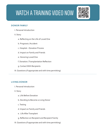# WATCH A TRAINING VIDEO NOW



#### **DONOR FAMILY**

- I. Personal Introduction
- II. Story
	- a. Reflecting on the Life of Loved One
	- b. Prognosis / Accident
	- c. Hospital Donation Process
	- d. Impact on Family and Friends
	- e. Honoring Loved One
	- f. Donation / Transplantation Reflection
	- g. Contact With Recipients
- III. Questions (if appropriate and with time permitting)

. . . . . . . . . . . . . . . . . .

#### **LIVING DONOR**

- I. Personal Introduction
- II. Story
	- a. Life Before Donation
	- b. Deciding to Become a Living Donor
	- c. Testing
	- d. Impact on Family and Friends
	- e. Life After Transplant
	- g. Reflection on Recipient and Recipient Family
- III. Questions (if appropriate and with time permitting)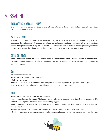## MESSAGING TIPS

### DONATION IS A TRIBUTE TO LIFE

Share your personal experiences with donation and transplantation, while keeping in mind that today's life is a tribute to donors and donor families.

### CALL TO ACTION

The purpose of telling your story is to inspire others to register as organ, tissue and cornea donors. Our goal is that each person leaves informed of their opportunity to donate and empowered to save and improve the lives of countless donors through the decision to register. Please end all speeches with a call to action by encouraging everyone in the audience to register to be a donor on their driver's license, state ID or online at core.org/register.

### DISPEL THE MYTHS

There are many misconceptions about donation, and they are a major barrier to the donation process. Time permitting, the audience should understand the facts on donation. You can read more about those myths and misconceptions on the following page.

### $\mathbf{D}$

- Keep to the allotted time.
- Use the words "recovery" and "brain death."
- Talk in simple terms.
- Please remember to speak about how your transplant or donation experience has positively affected you.
- Speak slowly, and remember to look up and make eye contact with the audience.

### $DON'TS$

- Use the word "harvest." It's harsh on the public ear.
- Say "they're kept on life support." Individuals being evaluated for donation have died. There is no need for life support. They simply are on a ventilator that is providing oxygen.
- Rely on note cards or papers. If you lose your place, you and your audience will be distracted. It is better to speak from the heart.
- Use clinical jargon or try to impress the audience with your knowledge of healthcare terminology.
- Think you must be an expert or professional speaker. You're sharing your story, which no one can do better than you.

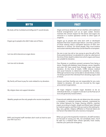## MYTHS VS. FACTS

| IMYTH                                                                               | FACT                                                                                                                                                                                                                                                                                                                                                                                                                                                 |
|-------------------------------------------------------------------------------------|------------------------------------------------------------------------------------------------------------------------------------------------------------------------------------------------------------------------------------------------------------------------------------------------------------------------------------------------------------------------------------------------------------------------------------------------------|
| My body will be mutilated and disfigured if I would donate.                         | Organ and tissue donation will not interfere with traditional<br>funeral arrangements such as an open casket. Doctors<br>maintain the utmost respect for the donor and organs are<br>removed in a routine operation similar to other types of<br>surgeries.                                                                                                                                                                                          |
| Organs go to people who didn't take care of theirs.                                 | Organs go to people who were born with or developed<br>diseases that have caused organ failure. Less than 5 percent<br>of those waiting need a transplant because of their own<br>behaviors or choices. For those people, they must achieve<br>and sustain sobriety before they can be listed for a transplant.                                                                                                                                      |
| I am too old to become an organ donor.                                              | No one is ever too old or too young to give the gift of life.<br>Every potential donor is evaluated on a case-by-case basis at<br>the time of their death to determine which organs and tissue<br>are suitable for donation.                                                                                                                                                                                                                         |
| I am too sick to donate.                                                            | Few illnesses or conditions prevent someone from being a<br>donor. People with diabetes, heart disease, cancer, hepatitis<br>and even HIV have saved lives through organ and tissue<br>donation. At the time of death, CORE reviews medical<br>and social histories to determine suitability for donation.<br>Although someone may not be able to donate blood, it does<br>not always prevent the individual from donating organs and/<br>or tissue. |
| My family will have to pay for costs related to my donation.                        | Donors and their families are not responsible for any costs<br>related to donation. All costs are incurred by the organ<br>procurement organization.                                                                                                                                                                                                                                                                                                 |
| My religion does not support donation.                                              | All major religions consider organ donation to be an<br>individual decision, or support it and see it as the final act of<br>love and generosity toward others.                                                                                                                                                                                                                                                                                      |
| Wealthy people are the only people who receive transplants.                         | Financial and celebrity status do not determine who receives<br>a transplant. A national computer network, maintained by<br>the United Network for Organ Sharing (UNOS), matches<br>organs according to height, weight and blood type, followed<br>by medical urgency and then time accrued on the waiting list.<br>Age, race, gender, religious affiliation or financial status are<br>not factors that determine who receives a transplant.        |
| EMTs and hospital staff members don't work as hard to save<br>your life if you're a | When you go to the hospital for treatment, all staff members<br>are focused on saving your life, not somebody else's. You'll<br>be seen by a medical team whose specialty most closely<br>matches your particular emergency.                                                                                                                                                                                                                         |